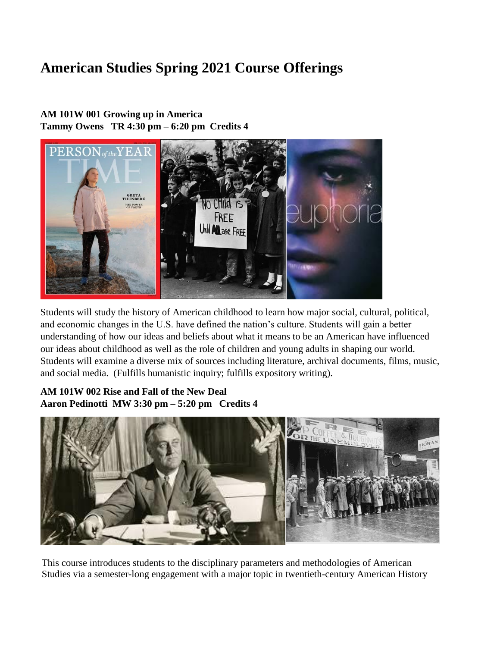# **American Studies Spring 2021 Course Offerings**

## **AM 101W 001 Growing up in America Tammy Owens TR 4:30 pm – 6:20 pm Credits 4**



Students will study the history of American childhood to learn how major social, cultural, political, and economic changes in the U.S. have defined the nation's culture. Students will gain a better understanding of how our ideas and beliefs about what it means to be an American have influenced our ideas about childhood as well as the role of children and young adults in shaping our world. Students will examine a diverse mix of sources including literature, archival documents, films, music, and social media. (Fulfills humanistic inquiry; fulfills expository writing).

# **AM 101W 002 Rise and Fall of the New Deal Aaron Pedinotti MW 3:30 pm – 5:20 pm Credits 4**



This course introduces students to the disciplinary parameters and methodologies of American Studies via a semester-long engagement with a major topic in twentieth-century American History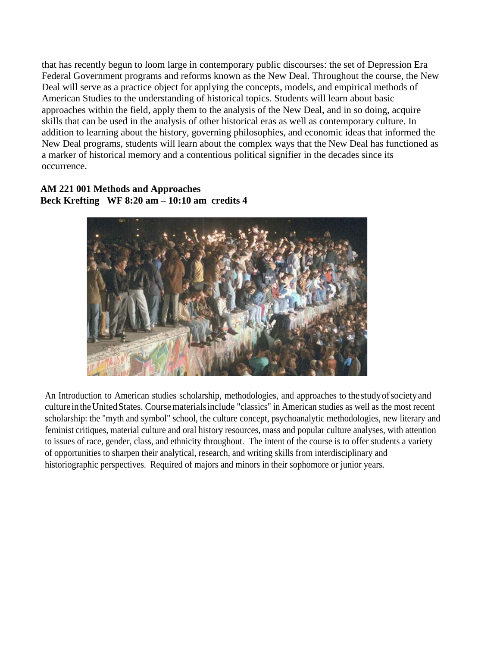that has recently begun to loom large in contemporary public discourses: the set of Depression Era Federal Government programs and reforms known as the New Deal. Throughout the course, the New Deal will serve as a practice object for applying the concepts, models, and empirical methods of American Studies to the understanding of historical topics. Students will learn about basic approaches within the field, apply them to the analysis of the New Deal, and in so doing, acquire skills that can be used in the analysis of other historical eras as well as contemporary culture. In addition to learning about the history, governing philosophies, and economic ideas that informed the New Deal programs, students will learn about the complex ways that the New Deal has functioned as a marker of historical memory and a contentious political signifier in the decades since its occurrence.

#### **AM 221 001 Methods and Approaches Beck Krefting WF 8:20 am – 10:10 am credits 4**



An Introduction to American studies scholarship, methodologies, and approaches to thestudyofsocietyand culture in the United States. Course materials include "classics" in American studies as well as the most recent scholarship: the "myth and symbol" school, the culture concept, psychoanalytic methodologies, new literary and feminist critiques, material culture and oral history resources, mass and popular culture analyses, with attention to issues of race, gender, class, and ethnicity throughout. The intent of the course is to offer students a variety of opportunities to sharpen their analytical, research, and writing skills from interdisciplinary and historiographic perspectives. Required of majors and minors in their sophomore or junior years.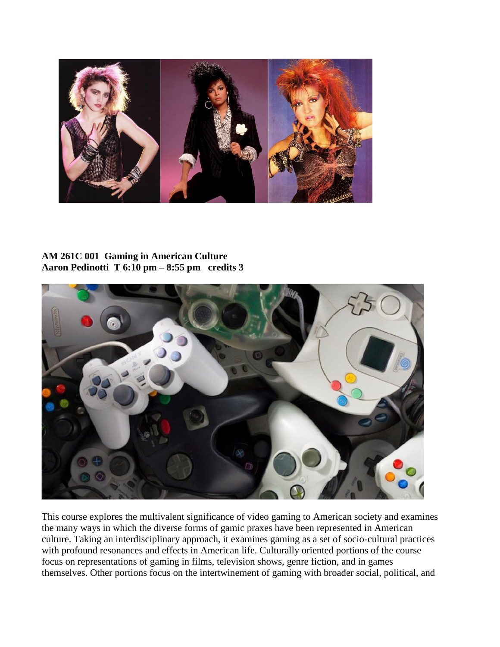

#### **AM 261C 001 Gaming in American Culture Aaron Pedinotti T 6:10 pm – 8:55 pm credits 3**



This course explores the multivalent significance of video gaming to American society and examines the many ways in which the diverse forms of gamic praxes have been represented in American culture. Taking an interdisciplinary approach, it examines gaming as a set of socio-cultural practices with profound resonances and effects in American life. Culturally oriented portions of the course focus on representations of gaming in films, television shows, genre fiction, and in games themselves. Other portions focus on the intertwinement of gaming with broader social, political, and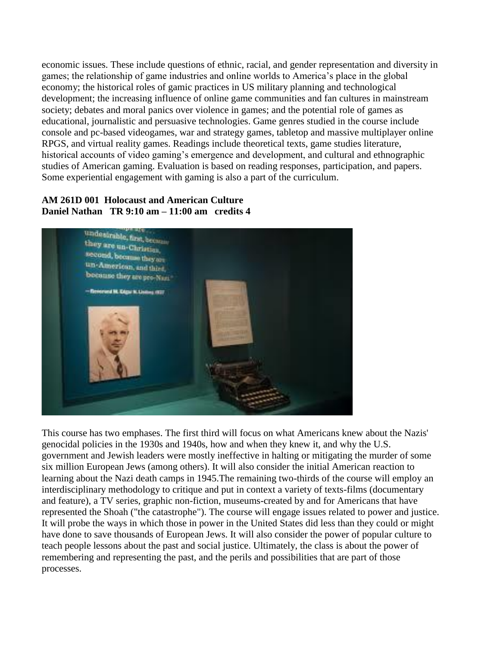economic issues. These include questions of ethnic, racial, and gender representation and diversity in games; the relationship of game industries and online worlds to America's place in the global economy; the historical roles of gamic practices in US military planning and technological development; the increasing influence of online game communities and fan cultures in mainstream society; debates and moral panics over violence in games; and the potential role of games as educational, journalistic and persuasive technologies. Game genres studied in the course include console and pc-based videogames, war and strategy games, tabletop and massive multiplayer online RPGS, and virtual reality games. Readings include theoretical texts, game studies literature, historical accounts of video gaming's emergence and development, and cultural and ethnographic studies of American gaming. Evaluation is based on reading responses, participation, and papers. Some experiential engagement with gaming is also a part of the curriculum.

#### **AM 261D 001 Holocaust and American Culture Daniel Nathan TR 9:10 am – 11:00 am credits 4**



This course has two emphases. The first third will focus on what Americans knew about the Nazis' genocidal policies in the 1930s and 1940s, how and when they knew it, and why the U.S. government and Jewish leaders were mostly ineffective in halting or mitigating the murder of some six million European Jews (among others). It will also consider the initial American reaction to learning about the Nazi death camps in 1945.The remaining two-thirds of the course will employ an interdisciplinary methodology to critique and put in context a variety of texts-films (documentary and feature), a TV series, graphic non-fiction, museums-created by and for Americans that have represented the Shoah ("the catastrophe"). The course will engage issues related to power and justice. It will probe the ways in which those in power in the United States did less than they could or might have done to save thousands of European Jews. It will also consider the power of popular culture to teach people lessons about the past and social justice. Ultimately, the class is about the power of remembering and representing the past, and the perils and possibilities that are part of those processes.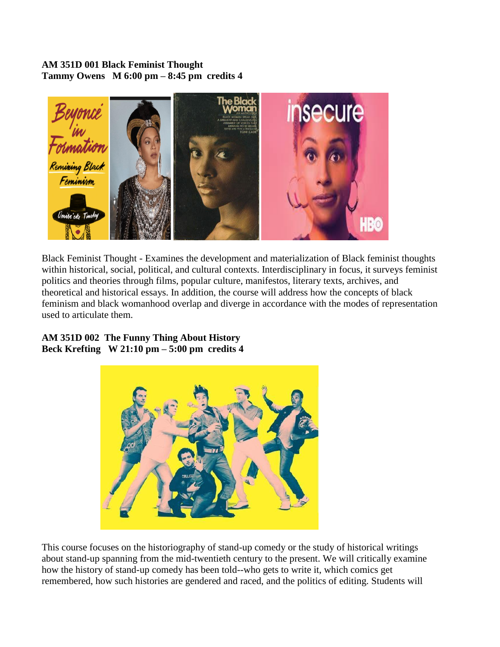#### **AM 351D 001 Black Feminist Thought Tammy Owens M 6:00 pm – 8:45 pm credits 4**



Black Feminist Thought - Examines the development and materialization of Black feminist thoughts within historical, social, political, and cultural contexts. Interdisciplinary in focus, it surveys feminist politics and theories through films, popular culture, manifestos, literary texts, archives, and theoretical and historical essays. In addition, the course will address how the concepts of black feminism and black womanhood overlap and diverge in accordance with the modes of representation used to articulate them.

#### **AM 351D 002 The Funny Thing About History Beck Krefting W 21:10 pm – 5:00 pm credits 4**



This course focuses on the historiography of stand-up comedy or the study of historical writings about stand-up spanning from the mid-twentieth century to the present. We will critically examine how the history of stand-up comedy has been told--who gets to write it, which comics get remembered, how such histories are gendered and raced, and the politics of editing. Students will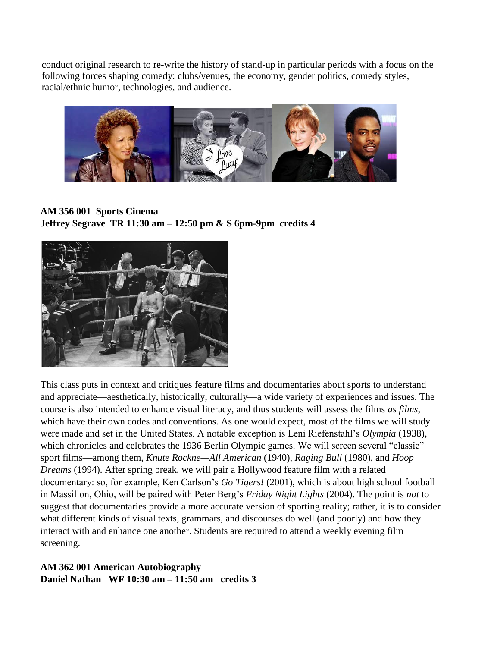conduct original research to re-write the history of stand-up in particular periods with a focus on the following forces shaping comedy: clubs/venues, the economy, gender politics, comedy styles, racial/ethnic humor, technologies, and audience.



**AM 356 001 Sports Cinema Jeffrey Segrave TR 11:30 am – 12:50 pm & S 6pm-9pm credits 4**



This class puts in context and critiques feature films and documentaries about sports to understand and appreciate—aesthetically, historically, culturally—a wide variety of experiences and issues. The course is also intended to enhance visual literacy, and thus students will assess the films *as films*, which have their own codes and conventions. As one would expect, most of the films we will study were made and set in the United States. A notable exception is Leni Riefenstahl's *Olympia* (1938), which chronicles and celebrates the 1936 Berlin Olympic games. We will screen several "classic" sport films—among them, *Knute Rockne—All American* (1940), *Raging Bull* (1980), and *Hoop Dreams* (1994). After spring break, we will pair a Hollywood feature film with a related documentary: so, for example, Ken Carlson's *Go Tigers!* (2001), which is about high school football in Massillon, Ohio, will be paired with Peter Berg's *Friday Night Lights* (2004). The point is *not* to suggest that documentaries provide a more accurate version of sporting reality; rather, it is to consider what different kinds of visual texts, grammars, and discourses do well (and poorly) and how they interact with and enhance one another. Students are required to attend a weekly evening film screening.

## **AM 362 001 American Autobiography Daniel Nathan WF 10:30 am – 11:50 am credits 3**